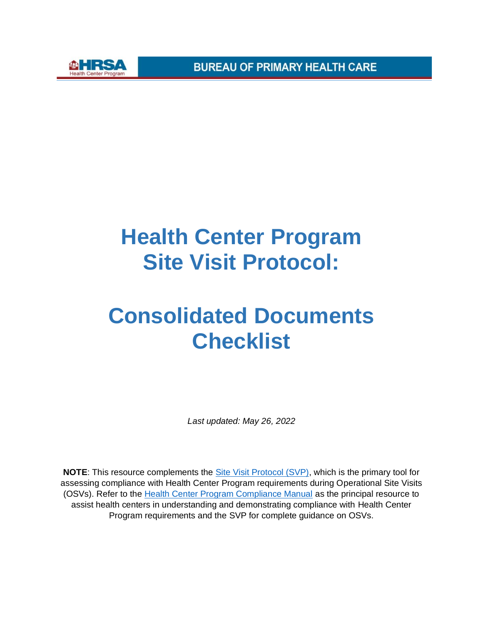



## **Health Center Program Site Visit Protocol:**

## **Consolidated Documents Checklist**

*Last updated: May 26, 2022* 

**NOTE**: This resource complements the [Site Visit Protocol \(SVP\),](https://bphc.hrsa.gov/programrequirements/site-visit-protocol) which is the primary tool for assessing compliance with Health Center Program requirements during Operational Site Visits (OSVs). Refer to the [Health Center Program Compliance Manual](https://bphc.hrsa.gov/programrequirements/compliancemanual/introduction.html) as the principal resource to assist health centers in understanding and demonstrating compliance with Health Center Program requirements and the SVP for complete guidance on OSVs.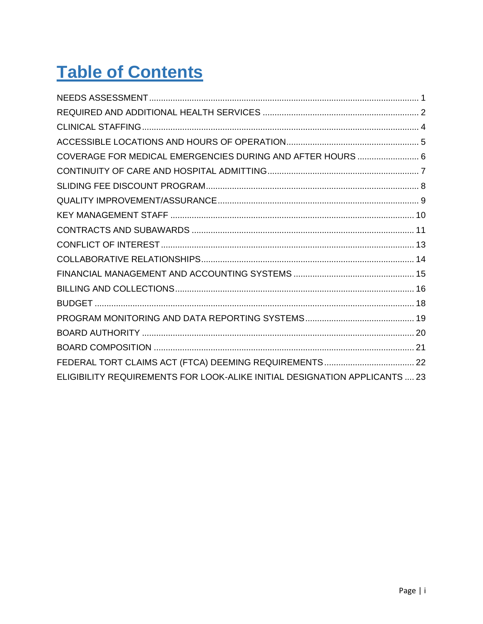#### **Table of Contents**

| COVERAGE FOR MEDICAL EMERGENCIES DURING AND AFTER HOURS  6                 |  |
|----------------------------------------------------------------------------|--|
|                                                                            |  |
|                                                                            |  |
|                                                                            |  |
|                                                                            |  |
|                                                                            |  |
|                                                                            |  |
|                                                                            |  |
|                                                                            |  |
|                                                                            |  |
|                                                                            |  |
|                                                                            |  |
|                                                                            |  |
|                                                                            |  |
|                                                                            |  |
| ELIGIBILITY REQUIREMENTS FOR LOOK-ALIKE INITIAL DESIGNATION APPLICANTS  23 |  |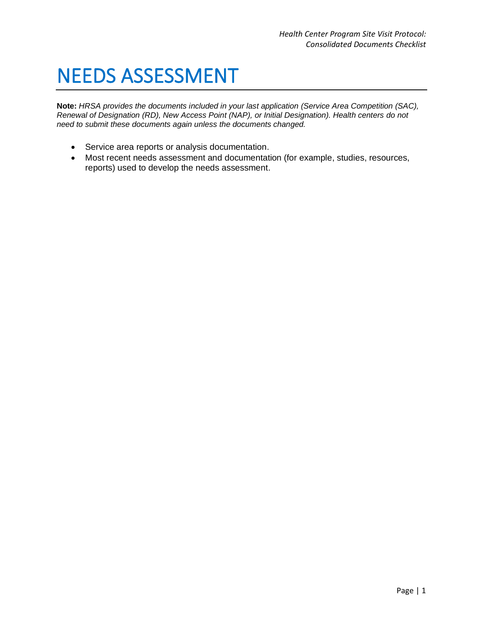#### <span id="page-2-0"></span>NEEDS ASSESSMENT

- Service area reports or analysis documentation.
- Most recent needs assessment and documentation (for example, studies, resources, reports) used to develop the needs assessment.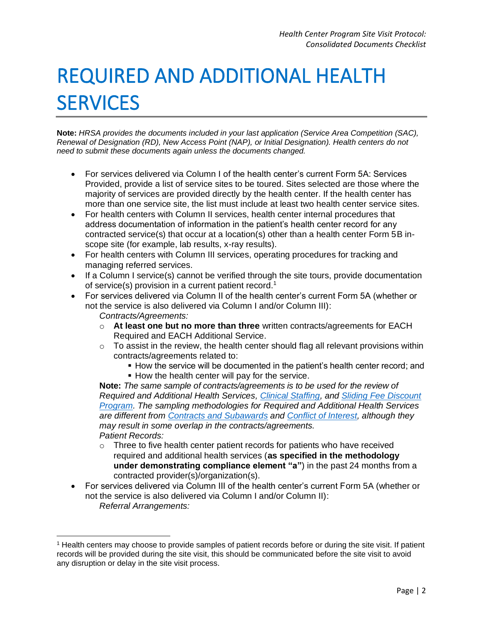# <span id="page-3-0"></span>REQUIRED AND ADDITIONAL HEALTH **SERVICES**

**Note:** *HRSA provides the documents included in your last application (Service Area Competition (SAC), Renewal of Designation (RD), New Access Point (NAP), or Initial Designation). Health centers do not need to submit these documents again unless the documents changed.* 

- For services delivered via Column I of the health center's current Form 5A: Services Provided, provide a list of service sites to be toured. Sites selected are those where the majority of services are provided directly by the health center. If the health center has more than one service site, the list must include at least two health center service sites.
- For health centers with Column II services, health center internal procedures that address documentation of information in the patient's health center record for any contracted service(s) that occur at a location(s) other than a health center Form 5B inscope site (for example, lab results, x-ray results).
- For health centers with Column III services, operating procedures for tracking and managing referred services.
- If a Column I service(s) cannot be verified through the site tours, provide documentation of service(s) provision in a current patient record.<sup>1</sup>
- For services delivered via Column II of the health center's current Form 5A (whether or not the service is also delivered via Column I and/or Column III): *Contracts/Agreements:* 
	- **At least one but no more than three** written contracts/agreements for EACH Required and EACH Additional Service.
	- To assist in the review, the health center should flag all relevant provisions within contracts/agreements related to:
		- **How the service will be documented in the patient's health center record; and .** How the health center will pay for the service.

**Note:** *The same sample of contracts/agreements is to be used for the review of Required and Additional Health Services, [Clinical Staffing,](https://bphc.hrsa.gov/programrequirements/site-visit-protocol/clinical-staffing) and [Sliding Fee Discount](https://bphc.hrsa.gov/programrequirements/site-visit-protocol/sliding-fee-discount-program)  [Program.](https://bphc.hrsa.gov/programrequirements/site-visit-protocol/sliding-fee-discount-program) The sampling methodologies for Required and Additional Health Services are different from [Contracts and Subawards](https://bphc.hrsa.gov/programrequirements/site-visit-protocol/contracts-and-subawards) and [Conflict of Interest,](https://bphc.hrsa.gov/programrequirements/site-visit-protocol/conflict-interest) although they may result in some overlap in the contracts/agreements. Patient Records:* 

- Three to five health center patient records for patients who have received required and additional health services (**as specified in the methodology under demonstrating compliance element "a"**) in the past 24 months from a contracted provider(s)/organization(s).
- For services delivered via Column III of the health center's current Form 5A (whether or not the service is also delivered via Column I and/or Column II): *Referral Arrangements:*

<sup>1</sup> Health centers may choose to provide samples of patient records before or during the site visit. If patient records will be provided during the site visit, this should be communicated before the site visit to avoid any disruption or delay in the site visit process.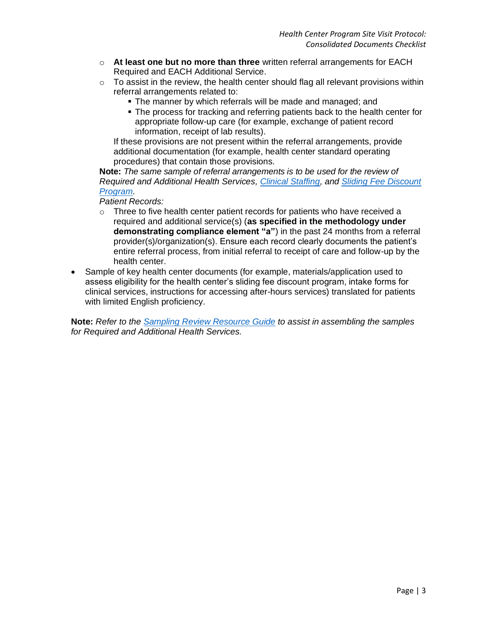- **At least one but no more than three** written referral arrangements for EACH Required and EACH Additional Service.
- To assist in the review, the health center should flag all relevant provisions within referral arrangements related to:
	- The manner by which referrals will be made and managed; and
	- The process for tracking and referring patients back to the health center for appropriate follow-up care (for example, exchange of patient record information, receipt of lab results).

If these provisions are not present within the referral arrangements, provide additional documentation (for example, health center standard operating procedures) that contain those provisions.

**Note:** *The same sample of referral arrangements is to be used for the review of Required and Additional Health Services, [Clinical Staffing,](https://bphc.hrsa.gov/programrequirements/site-visit-protocol/clinical-staffing) and [Sliding Fee Discount](https://bphc.hrsa.gov/programrequirements/site-visit-protocol/sliding-fee-discount-program)  [Program.](https://bphc.hrsa.gov/programrequirements/site-visit-protocol/sliding-fee-discount-program)* 

*Patient Records:* 

- Three to five health center patient records for patients who have received a required and additional service(s) (**as specified in the methodology under demonstrating compliance element "a"**) in the past 24 months from a referral provider(s)/organization(s). Ensure each record clearly documents the patient's entire referral process, from initial referral to receipt of care and follow-up by the health center.
- Sample of key health center documents (for example, materials/application used to assess eligibility for the health center's sliding fee discount program, intake forms for clinical services, instructions for accessing after-hours services) translated for patients with limited English proficiency.

**Note:** *Refer to the [Sampling Review Resource Guide](https://bphc.hrsa.gov/programrequirements/site-visit-protocol/sampling-review) to assist in assembling the samples for Required and Additional Health Services.*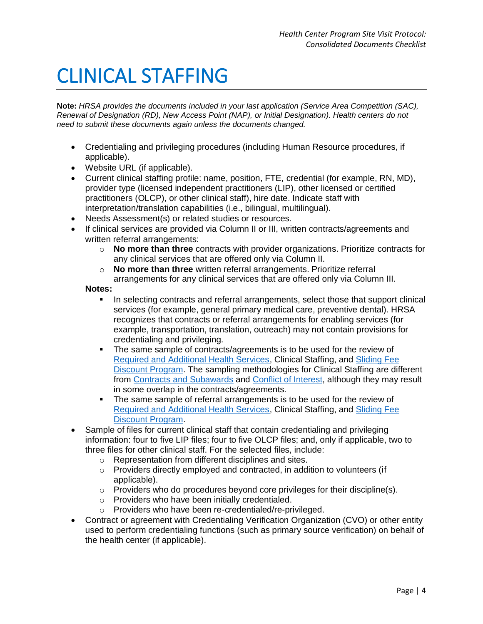#### <span id="page-5-0"></span>CLINICAL STAFFING

**Note:** *HRSA provides the documents included in your last application (Service Area Competition (SAC), Renewal of Designation (RD), New Access Point (NAP), or Initial Designation). Health centers do not need to submit these documents again unless the documents changed.* 

- Credentialing and privileging procedures (including Human Resource procedures, if applicable).
- Website URL (if applicable).
- Current clinical staffing profile: name, position, FTE, credential (for example, RN, MD), provider type (licensed independent practitioners (LIP), other licensed or certified practitioners (OLCP), or other clinical staff), hire date. Indicate staff with interpretation/translation capabilities (i.e., bilingual, multilingual).
- Needs Assessment(s) or related studies or resources.
- If clinical services are provided via Column II or III, written contracts/agreements and written referral arrangements:
	- **No more than three** contracts with provider organizations. Prioritize contracts for any clinical services that are offered only via Column II.
	- **No more than three** written referral arrangements. Prioritize referral arrangements for any clinical services that are offered only via Column III.

#### **Notes:**

- In selecting contracts and referral arrangements, select those that support clinical services (for example, general primary medical care, preventive dental). HRSA recognizes that contracts or referral arrangements for enabling services (for example, transportation, translation, outreach) may not contain provisions for credentialing and privileging.
- The same sample of contracts/agreements is to be used for the review of [Required and Additional Health Services,](https://bphc.hrsa.gov/programrequirements/site-visit-protocol/required-and-additional-health-services) Clinical Staffing, and [Sliding Fee](https://bphc.hrsa.gov/programrequirements/site-visit-protocol/sliding-fee-discount-program)  [Discount Program.](https://bphc.hrsa.gov/programrequirements/site-visit-protocol/sliding-fee-discount-program) The sampling methodologies for Clinical Staffing are different from [Contracts and Subawards](https://bphc.hrsa.gov/programrequirements/site-visit-protocol/contracts-and-subawards) and [Conflict of Interest,](https://bphc.hrsa.gov/programrequirements/site-visit-protocol/conflict-interest) although they may result in some overlap in the contracts/agreements.
- The same sample of referral arrangements is to be used for the review of [Required and Additional Health Services,](https://bphc.hrsa.gov/programrequirements/site-visit-protocol/required-and-additional-health-services) Clinical Staffing, and [Sliding Fee](https://bphc.hrsa.gov/programrequirements/site-visit-protocol/sliding-fee-discount-program)  [Discount Program.](https://bphc.hrsa.gov/programrequirements/site-visit-protocol/sliding-fee-discount-program)
- Sample of files for current clinical staff that contain credentialing and privileging information: four to five LIP files; four to five OLCP files; and, only if applicable, two to three files for other clinical staff. For the selected files, include:
	- Representation from different disciplines and sites.
	- Providers directly employed and contracted, in addition to volunteers (if applicable).
	- Providers who do procedures beyond core privileges for their discipline(s).
	- Providers who have been initially credentialed.
	- Providers who have been re-credentialed/re-privileged.
- Contract or agreement with Credentialing Verification Organization (CVO) or other entity used to perform credentialing functions (such as primary source verification) on behalf of the health center (if applicable).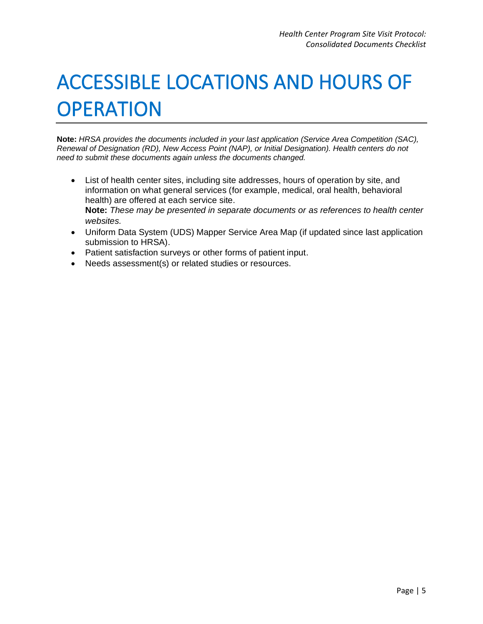## <span id="page-6-0"></span>ACCESSIBLE LOCATIONS AND HOURS OF **OPERATION**

- List of health center sites, including site addresses, hours of operation by site, and information on what general services (for example, medical, oral health, behavioral health) are offered at each service site. **Note:** *These may be presented in separate documents or as references to health center websites.*
- Uniform Data System (UDS) Mapper Service Area Map (if updated since last application submission to HRSA).
- Patient satisfaction surveys or other forms of patient input.
- Needs assessment(s) or related studies or resources.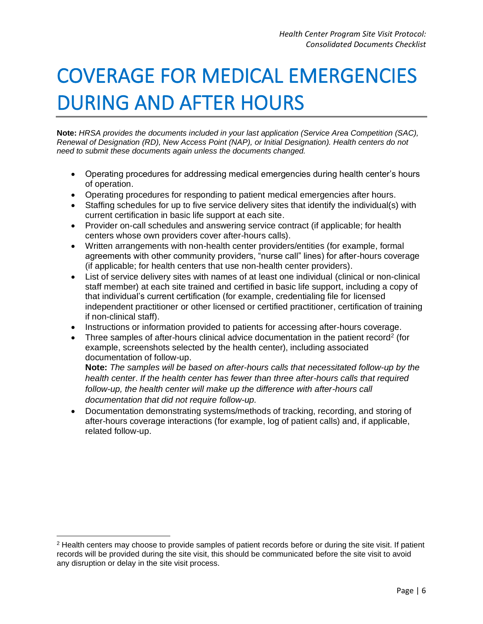## <span id="page-7-0"></span>COVERAGE FOR MEDICAL EMERGENCIES DURING AND AFTER HOURS

**Note:** *HRSA provides the documents included in your last application (Service Area Competition (SAC), Renewal of Designation (RD), New Access Point (NAP), or Initial Designation). Health centers do not need to submit these documents again unless the documents changed.* 

- Operating procedures for addressing medical emergencies during health center's hours of operation.
- Operating procedures for responding to patient medical emergencies after hours.
- Staffing schedules for up to five service delivery sites that identify the individual(s) with current certification in basic life support at each site.
- Provider on-call schedules and answering service contract (if applicable; for health centers whose own providers cover after-hours calls).
- Written arrangements with non-health center providers/entities (for example, formal agreements with other community providers, "nurse call" lines) for after-hours coverage (if applicable; for health centers that use non-health center providers).
- List of service delivery sites with names of at least one individual (clinical or non-clinical staff member) at each site trained and certified in basic life support, including a copy of that individual's current certification (for example, credentialing file for licensed independent practitioner or other licensed or certified practitioner, certification of training if non-clinical staff).
- Instructions or information provided to patients for accessing after-hours coverage.
- Three samples of after-hours clinical advice documentation in the patient record<sup>2</sup> (for example, screenshots selected by the health center), including associated documentation of follow-up.

**Note:** *The samples will be based on after-hours calls that necessitated follow-up by the health center*. *If the health center has fewer than three after-hours calls that required*  follow-up, the health center will make up the difference with after-hours call *documentation that did not require follow-up.*

• Documentation demonstrating systems/methods of tracking, recording, and storing of after-hours coverage interactions (for example, log of patient calls) and, if applicable, related follow-up.

<sup>&</sup>lt;sup>2</sup> Health centers may choose to provide samples of patient records before or during the site visit. If patient records will be provided during the site visit, this should be communicated before the site visit to avoid any disruption or delay in the site visit process.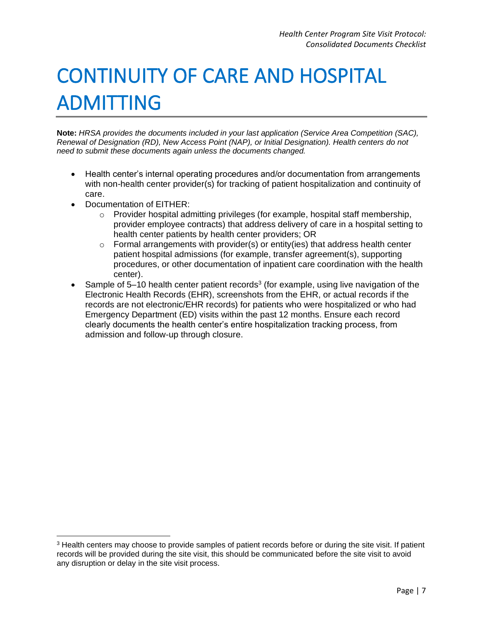# <span id="page-8-0"></span>CONTINUITY OF CARE AND HOSPITAL ADMITTING

- Health center's internal operating procedures and/or documentation from arrangements with non-health center provider(s) for tracking of patient hospitalization and continuity of care.
- Documentation of EITHER:
	- Provider hospital admitting privileges (for example, hospital staff membership, provider employee contracts) that address delivery of care in a hospital setting to health center patients by health center providers; OR
	- $\circ$  Formal arrangements with provider(s) or entity(ies) that address health center patient hospital admissions (for example, transfer agreement(s), supporting procedures, or other documentation of inpatient care coordination with the health center).
- Sample of 5-10 health center patient records<sup>3</sup> (for example, using live navigation of the Electronic Health Records (EHR), screenshots from the EHR, or actual records if the records are not electronic/EHR records) for patients who were hospitalized or who had Emergency Department (ED) visits within the past 12 months. Ensure each record clearly documents the health center's entire hospitalization tracking process, from admission and follow-up through closure.

<sup>&</sup>lt;sup>3</sup> Health centers may choose to provide samples of patient records before or during the site visit. If patient records will be provided during the site visit, this should be communicated before the site visit to avoid any disruption or delay in the site visit process.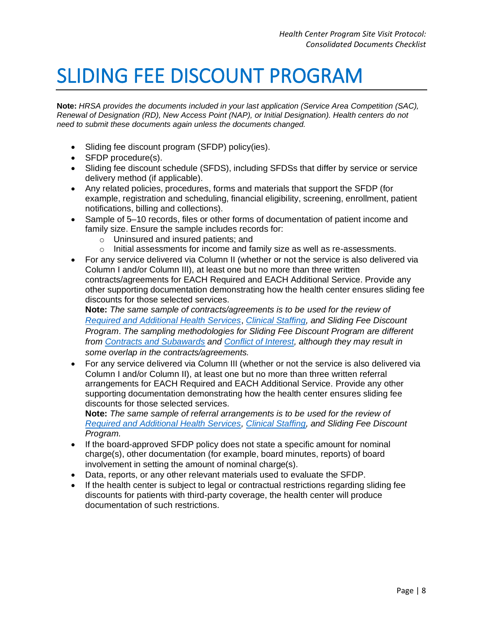#### <span id="page-9-0"></span>SLIDING FEE DISCOUNT PROGRAM

**Note:** *HRSA provides the documents included in your last application (Service Area Competition (SAC), Renewal of Designation (RD), New Access Point (NAP), or Initial Designation). Health centers do not need to submit these documents again unless the documents changed.* 

- Sliding fee discount program (SFDP) policy(ies).
- SFDP procedure(s).
- Sliding fee discount schedule (SFDS), including SFDSs that differ by service or service delivery method (if applicable).
- Any related policies, procedures, forms and materials that support the SFDP (for example, registration and scheduling, financial eligibility, screening, enrollment, patient notifications, billing and collections).
- Sample of 5–10 records, files or other forms of documentation of patient income and family size. Ensure the sample includes records for:
	- Uninsured and insured patients; and
	- Initial assessments for income and family size as well as re-assessments.
- For any service delivered via Column II (whether or not the service is also delivered via Column I and/or Column III), at least one but no more than three written contracts/agreements for EACH Required and EACH Additional Service. Provide any other supporting documentation demonstrating how the health center ensures sliding fee discounts for those selected services.

**Note:** *The same sample of contracts/agreements is to be used for the review of [Required and Additional Health Services](https://bphc.hrsa.gov/programrequirements/site-visit-protocol/required-and-additional-health-services)*, *[Clinical Staffing,](https://bphc.hrsa.gov/programrequirements/site-visit-protocol/clinical-staffing) and Sliding Fee Discount Program*. *The sampling methodologies for Sliding Fee Discount Program are different from [Contracts and Subawards](https://bphc.hrsa.gov/programrequirements/site-visit-protocol/contracts-and-subawards) and [Conflict of Interest,](https://bphc.hrsa.gov/programrequirements/site-visit-protocol/conflict-interest) although they may result in some overlap in the contracts/agreements.*

• For any service delivered via Column III (whether or not the service is also delivered via Column I and/or Column II), at least one but no more than three written referral arrangements for EACH Required and EACH Additional Service. Provide any other supporting documentation demonstrating how the health center ensures sliding fee discounts for those selected services.

**Note:** *The same sample of referral arrangements is to be used for the review of [Required and Additional Health Services,](https://bphc.hrsa.gov/programrequirements/site-visit-protocol/required-and-additional-health-services) [Clinical Staffing,](https://bphc.hrsa.gov/programrequirements/site-visit-protocol/clinical-staffing) and Sliding Fee Discount Program.* 

- If the board-approved SFDP policy does not state a specific amount for nominal charge(s), other documentation (for example, board minutes, reports) of board involvement in setting the amount of nominal charge(s).
- Data, reports, or any other relevant materials used to evaluate the SFDP.
- If the health center is subject to legal or contractual restrictions regarding sliding fee discounts for patients with third-party coverage, the health center will produce documentation of such restrictions.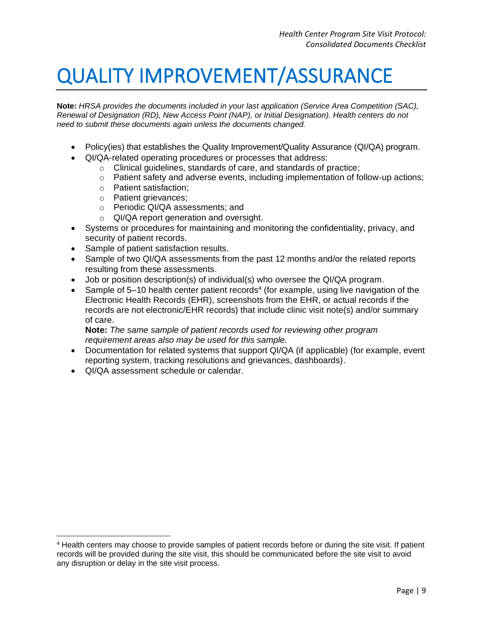#### <span id="page-10-0"></span>QUALITY IMPROVEMENT/ASSURANCE

**Note:** *HRSA provides the documents included in your last application (Service Area Competition (SAC), Renewal of Designation (RD), New Access Point (NAP), or Initial Designation). Health centers do not need to submit these documents again unless the documents changed.* 

- Policy(ies) that establishes the Quality Improvement/Quality Assurance (QI/QA) program.
- QI/QA-related operating procedures or processes that address:
	- Clinical guidelines, standards of care, and standards of practice;
	- Patient safety and adverse events, including implementation of follow-up actions;
	- Patient satisfaction;
	- Patient grievances;
	- Periodic QI/QA assessments; and
	- QI/QA report generation and oversight.
- Systems or procedures for maintaining and monitoring the confidentiality, privacy, and security of patient records.
- Sample of patient satisfaction results.
- Sample of two QI/QA assessments from the past 12 months and/or the related reports resulting from these assessments.
- Job or position description(s) of individual(s) who oversee the QI/QA program.
- Sample of 5-10 health center patient records<sup>4</sup> (for example, using live navigation of the Electronic Health Records (EHR), screenshots from the EHR, or actual records if the records are not electronic/EHR records) that include clinic visit note(s) and/or summary of care.

**Note:** *The same sample of patient records used for reviewing other program requirement areas also may be used for this sample.*

- Documentation for related systems that support QI/QA (if applicable) (for example, event reporting system, tracking resolutions and grievances, dashboards).
- QI/QA assessment schedule or calendar.

<sup>4</sup> Health centers may choose to provide samples of patient records before or during the site visit. If patient records will be provided during the site visit, this should be communicated before the site visit to avoid any disruption or delay in the site visit process.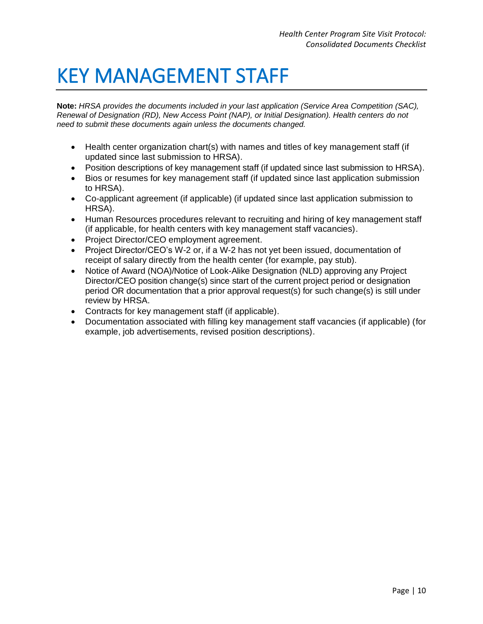#### <span id="page-11-0"></span>KEY MANAGEMENT STAFF

- Health center organization chart(s) with names and titles of key management staff (if updated since last submission to HRSA).
- Position descriptions of key management staff (if updated since last submission to HRSA).
- Bios or resumes for key management staff (if updated since last application submission to HRSA).
- Co-applicant agreement (if applicable) (if updated since last application submission to HRSA).
- Human Resources procedures relevant to recruiting and hiring of key management staff (if applicable, for health centers with key management staff vacancies).
- Project Director/CEO employment agreement.
- Project Director/CEO's W-2 or, if a W-2 has not yet been issued, documentation of receipt of salary directly from the health center (for example, pay stub).
- Notice of Award (NOA)/Notice of Look-Alike Designation (NLD) approving any Project Director/CEO position change(s) since start of the current project period or designation period OR documentation that a prior approval request(s) for such change(s) is still under review by HRSA.
- Contracts for key management staff (if applicable).
- Documentation associated with filling key management staff vacancies (if applicable) (for example, job advertisements, revised position descriptions).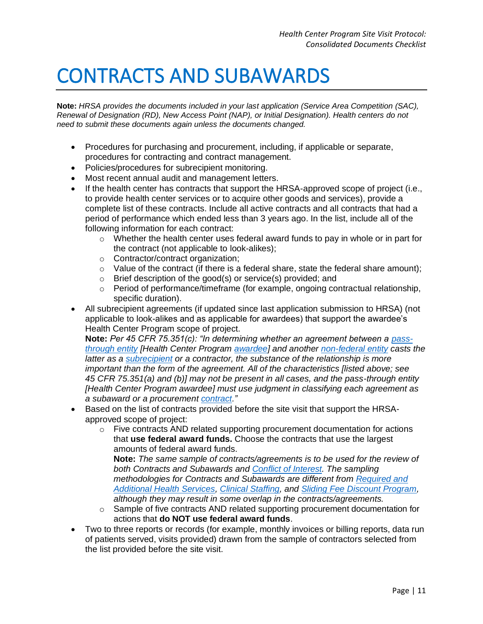#### <span id="page-12-0"></span>CONTRACTS AND SUBAWARDS

**Note:** *HRSA provides the documents included in your last application (Service Area Competition (SAC), Renewal of Designation (RD), New Access Point (NAP), or Initial Designation). Health centers do not need to submit these documents again unless the documents changed.* 

- Procedures for purchasing and procurement, including, if applicable or separate, procedures for contracting and contract management.
- Policies/procedures for subrecipient monitoring.
- Most recent annual audit and management letters.
- If the health center has contracts that support the HRSA-approved scope of project (i.e., to provide health center services or to acquire other goods and services), provide a complete list of these contracts. Include all active contracts and all contracts that had a period of performance which ended less than 3 years ago. In the list, include all of the following information for each contract:
	- Whether the health center uses federal award funds to pay in whole or in part for the contract (not applicable to look-alikes);
	- Contractor/contract organization;
	- $\circ$  Value of the contract (if there is a federal share, state the federal share amount);
	- Brief description of the good(s) or service(s) provided; and
	- Period of performance/timeframe (for example, ongoing contractual relationship, specific duration).
- All subrecipient agreements (if updated since last application submission to HRSA) (not applicable to look-alikes and as applicable for awardees) that support the awardee's Health Center Program scope of project.

**Note:** *Per 45 CFR 75.351(c): "In determining whether an agreement between a [pass](https://bphc.hrsa.gov/programrequirements/compliancemanual/glossary.html#pass-through-entity)[through entity](https://bphc.hrsa.gov/programrequirements/compliancemanual/glossary.html#pass-through-entity) [Health Center Program [awardee\]](https://bphc.hrsa.gov/programrequirements/compliancemanual/glossary.html#awardee) and another [non-federal entity](https://bphc.hrsa.gov/programrequirements/compliancemanual/glossary.html#non-federal-entity) casts the latter as a [subrecipient](https://bphc.hrsa.gov/programrequirements/compliancemanual/glossary.html#subrecipient) or a contractor, the substance of the relationship is more important than the form of the agreement. All of the characteristics [listed above; see 45 CFR 75.351(a) and (b)] may not be present in all cases, and the pass-through entity [Health Center Program awardee] must use judgment in classifying each agreement as a subaward or a procuremen[t contract.](https://bphc.hrsa.gov/programrequirements/compliancemanual/glossary.html#contract)"*

- Based on the list of contracts provided before the site visit that support the HRSAapproved scope of project:
	- Five contracts AND related supporting procurement documentation for actions that **use federal award funds.** Choose the contracts that use the largest amounts of federal award funds.

**Note:** *The same sample of contracts/agreements is to be used for the review of both Contracts and Subawards and [Conflict of Interest.](https://bphc.hrsa.gov/programrequirements/site-visit-protocol/conflict-interest) The sampling methodologies for Contracts and Subawards are different from [Required and](https://bphc.hrsa.gov/programrequirements/site-visit-protocol/required-and-additional-health-services)  [Additional Health Services,](https://bphc.hrsa.gov/programrequirements/site-visit-protocol/required-and-additional-health-services) [Clinical Staffing,](https://bphc.hrsa.gov/programrequirements/site-visit-protocol/clinical-staffing) and [Sliding Fee Discount Program,](https://bphc.hrsa.gov/programrequirements/site-visit-protocol/sliding-fee-discount-program) although they may result in some overlap in the contracts/agreements.*

- Sample of five contracts AND related supporting procurement documentation for actions that **do NOT use federal award funds**.
- Two to three reports or records (for example, monthly invoices or billing reports, data run of patients served, visits provided) drawn from the sample of contractors selected from the list provided before the site visit.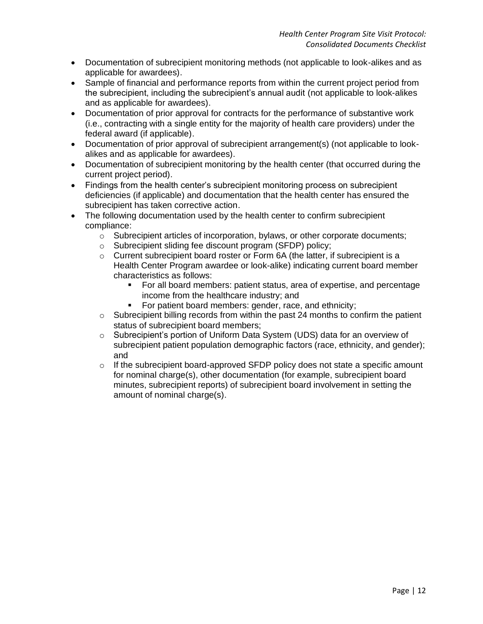- Documentation of subrecipient monitoring methods (not applicable to look-alikes and as applicable for awardees).
- Sample of financial and performance reports from within the current project period from the subrecipient, including the subrecipient's annual audit (not applicable to look-alikes and as applicable for awardees).
- Documentation of prior approval for contracts for the performance of substantive work (i.e., contracting with a single entity for the majority of health care providers) under the federal award (if applicable).
- Documentation of prior approval of subrecipient arrangement(s) (not applicable to lookalikes and as applicable for awardees).
- Documentation of subrecipient monitoring by the health center (that occurred during the current project period).
- Findings from the health center's subrecipient monitoring process on subrecipient deficiencies (if applicable) and documentation that the health center has ensured the subrecipient has taken corrective action.
- The following documentation used by the health center to confirm subrecipient compliance:
	- Subrecipient articles of incorporation, bylaws, or other corporate documents;
	- Subrecipient sliding fee discount program (SFDP) policy;
	- Current subrecipient board roster or Form 6A (the latter, if subrecipient is a Health Center Program awardee or look-alike) indicating current board member characteristics as follows:
		- For all board members: patient status, area of expertise, and percentage income from the healthcare industry; and
		- For patient board members: gender, race, and ethnicity;
	- Subrecipient billing records from within the past 24 months to confirm the patient status of subrecipient board members;
	- Subrecipient's portion of Uniform Data System (UDS) data for an overview of subrecipient patient population demographic factors (race, ethnicity, and gender); and
	- If the subrecipient board-approved SFDP policy does not state a specific amount for nominal charge(s), other documentation (for example, subrecipient board minutes, subrecipient reports) of subrecipient board involvement in setting the amount of nominal charge(s).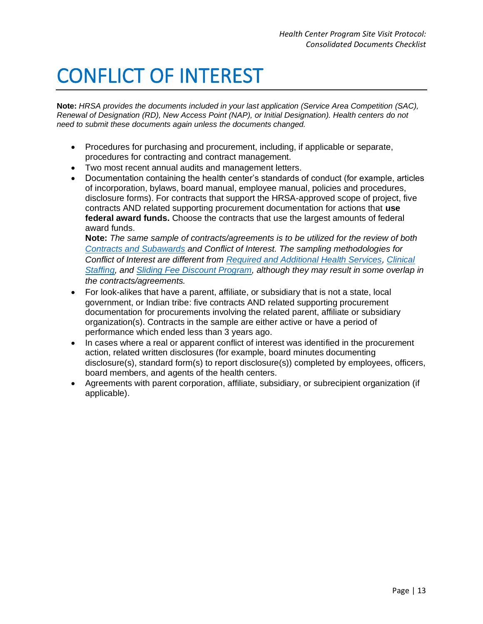## <span id="page-14-0"></span>CONFLICT OF INTEREST

**Note:** *HRSA provides the documents included in your last application (Service Area Competition (SAC), Renewal of Designation (RD), New Access Point (NAP), or Initial Designation). Health centers do not need to submit these documents again unless the documents changed.* 

- Procedures for purchasing and procurement, including, if applicable or separate, procedures for contracting and contract management.
- Two most recent annual audits and management letters.
- Documentation containing the health center's standards of conduct (for example, articles of incorporation, bylaws, board manual, employee manual, policies and procedures, disclosure forms). For contracts that support the HRSA-approved scope of project, five contracts AND related supporting procurement documentation for actions that **use federal award funds.** Choose the contracts that use the largest amounts of federal award funds.

**Note:** *The same sample of contracts/agreements is to be utilized for the review of both [Contracts and Subawards](https://bphc.hrsa.gov/programrequirements/site-visit-protocol/contracts-and-subawards) and Conflict of Interest. The sampling methodologies for Conflict of Interest are different from [Required and Additional Health Services,](https://bphc.hrsa.gov/programrequirements/site-visit-protocol/required-and-additional-health-services) [Clinical](https://bphc.hrsa.gov/programrequirements/site-visit-protocol/clinical-staffing)  [Staffing,](https://bphc.hrsa.gov/programrequirements/site-visit-protocol/clinical-staffing) and [Sliding Fee Discount Program,](https://bphc.hrsa.gov/programrequirements/site-visit-protocol/sliding-fee-discount-program) although they may result in some overlap in the contracts/agreements.*

- For look-alikes that have a parent, affiliate, or subsidiary that is not a state, local government, or Indian tribe: five contracts AND related supporting procurement documentation for procurements involving the related parent, affiliate or subsidiary organization(s). Contracts in the sample are either active or have a period of performance which ended less than 3 years ago.
- In cases where a real or apparent conflict of interest was identified in the procurement action, related written disclosures (for example, board minutes documenting disclosure(s), standard form(s) to report disclosure(s)) completed by employees, officers, board members, and agents of the health centers.
- Agreements with parent corporation, affiliate, subsidiary, or subrecipient organization (if applicable).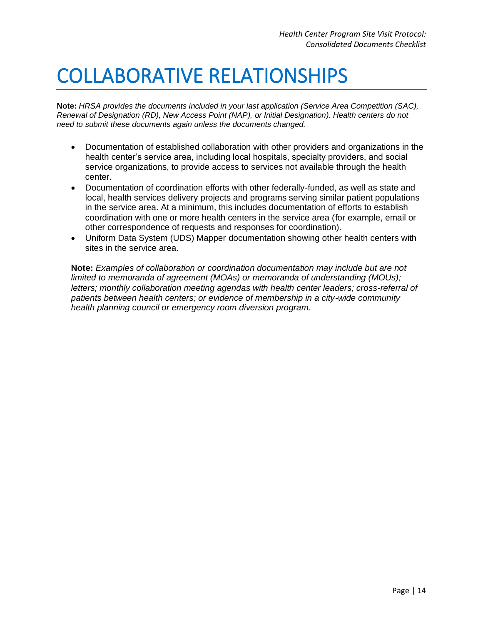#### <span id="page-15-0"></span>COLLABORATIVE RELATIONSHIPS

**Note:** *HRSA provides the documents included in your last application (Service Area Competition (SAC), Renewal of Designation (RD), New Access Point (NAP), or Initial Designation). Health centers do not need to submit these documents again unless the documents changed.* 

- Documentation of established collaboration with other providers and organizations in the health center's service area, including local hospitals, specialty providers, and social service organizations, to provide access to services not available through the health center.
- Documentation of coordination efforts with other federally-funded, as well as state and local, health services delivery projects and programs serving similar patient populations in the service area. At a minimum, this includes documentation of efforts to establish coordination with one or more health centers in the service area (for example, email or other correspondence of requests and responses for coordination).
- Uniform Data System (UDS) Mapper documentation showing other health centers with sites in the service area.

**Note:** *Examples of collaboration or coordination documentation may include but are not limited to memoranda of agreement (MOAs) or memoranda of understanding (MOUs);*  letters; monthly collaboration meeting agendas with health center leaders; cross-referral of *patients between health centers; or evidence of membership in a city-wide community health planning council or emergency room diversion program.*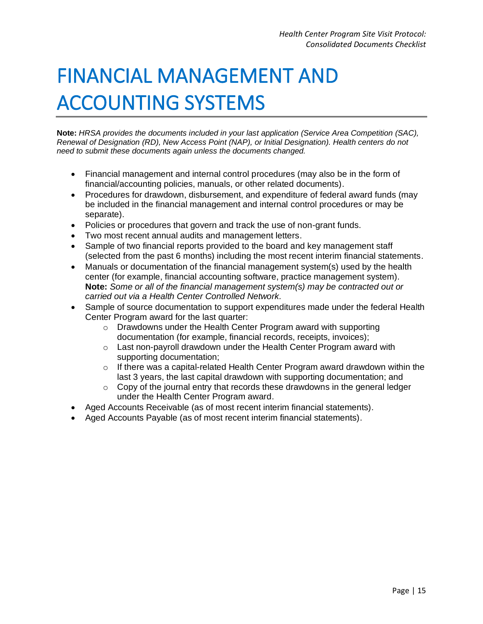# <span id="page-16-0"></span>FINANCIAL MANAGEMENT AND ACCOUNTING SYSTEMS

- Financial management and internal control procedures (may also be in the form of financial/accounting policies, manuals, or other related documents).
- Procedures for drawdown, disbursement, and expenditure of federal award funds (may be included in the financial management and internal control procedures or may be separate).
- Policies or procedures that govern and track the use of non-grant funds.
- Two most recent annual audits and management letters.
- Sample of two financial reports provided to the board and key management staff (selected from the past 6 months) including the most recent interim financial statements.
- Manuals or documentation of the financial management system(s) used by the health center (for example, financial accounting software, practice management system). **Note:** *Some or all of the financial management system(s) may be contracted out or carried out via a Health Center Controlled Network.*
- Sample of source documentation to support expenditures made under the federal Health Center Program award for the last quarter:
	- Drawdowns under the Health Center Program award with supporting documentation (for example, financial records, receipts, invoices);
	- Last non-payroll drawdown under the Health Center Program award with supporting documentation;
	- $\circ$  If there was a capital-related Health Center Program award drawdown within the last 3 years, the last capital drawdown with supporting documentation; and
	- $\circ$  Copy of the journal entry that records these drawdowns in the general ledger under the Health Center Program award.
- Aged Accounts Receivable (as of most recent interim financial statements).
- Aged Accounts Payable (as of most recent interim financial statements).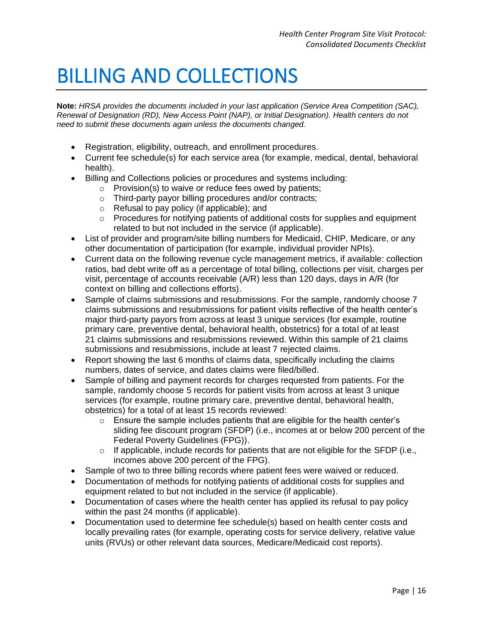### <span id="page-17-0"></span>BILLING AND COLLECTIONS

- Registration, eligibility, outreach, and enrollment procedures.
- Current fee schedule(s) for each service area (for example, medical, dental, behavioral health).
- Billing and Collections policies or procedures and systems including:
	- Provision(s) to waive or reduce fees owed by patients;
	- Third-party payor billing procedures and/or contracts;
	- Refusal to pay policy (if applicable); and
	- Procedures for notifying patients of additional costs for supplies and equipment related to but not included in the service (if applicable).
- List of provider and program/site billing numbers for Medicaid, CHIP, Medicare, or any other documentation of participation (for example, individual provider NPIs).
- Current data on the following revenue cycle management metrics, if available: collection ratios, bad debt write off as a percentage of total billing, collections per visit, charges per visit, percentage of accounts receivable (A/R) less than 120 days, days in A/R (for context on billing and collections efforts).
- Sample of claims submissions and resubmissions. For the sample, randomly choose 7 claims submissions and resubmissions for patient visits reflective of the health center's major third-party payors from across at least 3 unique services (for example, routine primary care, preventive dental, behavioral health, obstetrics) for a total of at least 21 claims submissions and resubmissions reviewed. Within this sample of 21 claims submissions and resubmissions, include at least 7 rejected claims.
- Report showing the last 6 months of claims data, specifically including the claims numbers, dates of service, and dates claims were filed/billed.
- Sample of billing and payment records for charges requested from patients. For the sample, randomly choose 5 records for patient visits from across at least 3 unique services (for example, routine primary care, preventive dental, behavioral health, obstetrics) for a total of at least 15 records reviewed:
	- Ensure the sample includes patients that are eligible for the health center's sliding fee discount program (SFDP) (i.e., incomes at or below 200 percent of the Federal Poverty Guidelines (FPG)).
	- If applicable, include records for patients that are not eligible for the SFDP (i.e., incomes above 200 percent of the FPG).
- Sample of two to three billing records where patient fees were waived or reduced.
- Documentation of methods for notifying patients of additional costs for supplies and equipment related to but not included in the service (if applicable).
- Documentation of cases where the health center has applied its refusal to pay policy within the past 24 months (if applicable).
- Documentation used to determine fee schedule(s) based on health center costs and locally prevailing rates (for example, operating costs for service delivery, relative value units (RVUs) or other relevant data sources, Medicare/Medicaid cost reports).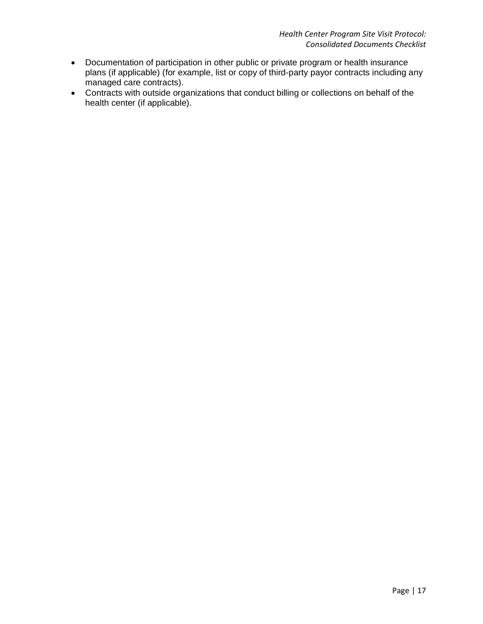- Documentation of participation in other public or private program or health insurance plans (if applicable) (for example, list or copy of third-party payor contracts including any managed care contracts).
- Contracts with outside organizations that conduct billing or collections on behalf of the health center (if applicable).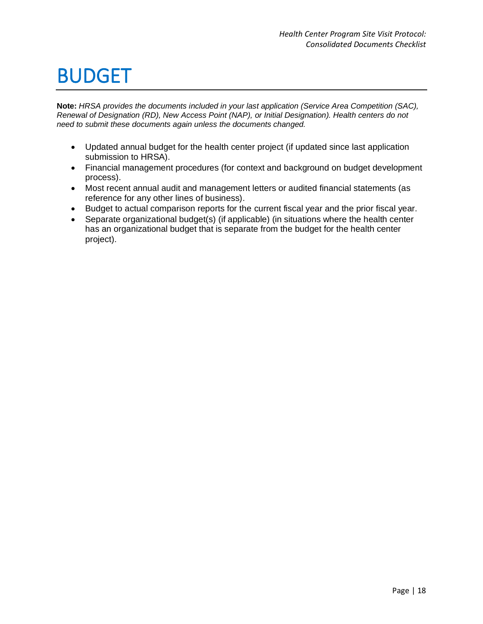### <span id="page-19-0"></span>BUDGET

- Updated annual budget for the health center project (if updated since last application submission to HRSA).
- Financial management procedures (for context and background on budget development process).
- Most recent annual audit and management letters or audited financial statements (as reference for any other lines of business).
- Budget to actual comparison reports for the current fiscal year and the prior fiscal year.
- Separate organizational budget(s) (if applicable) (in situations where the health center has an organizational budget that is separate from the budget for the health center project).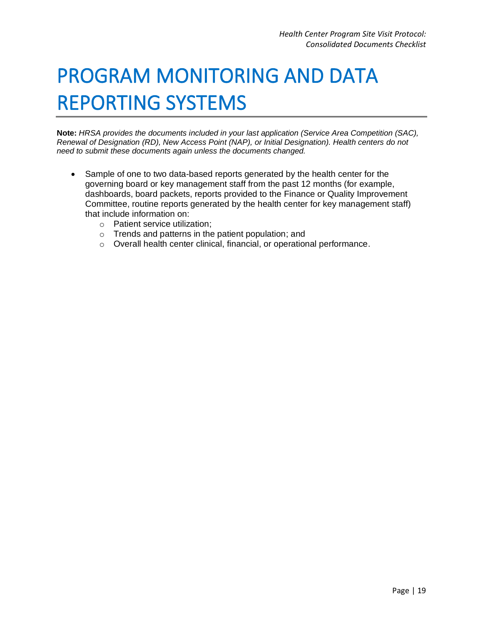# <span id="page-20-0"></span>PROGRAM MONITORING AND DATA REPORTING SYSTEMS

- Sample of one to two data-based reports generated by the health center for the governing board or key management staff from the past 12 months (for example, dashboards, board packets, reports provided to the Finance or Quality Improvement Committee, routine reports generated by the health center for key management staff) that include information on:
	- Patient service utilization;
	- Trends and patterns in the patient population; and
	- Overall health center clinical, financial, or operational performance.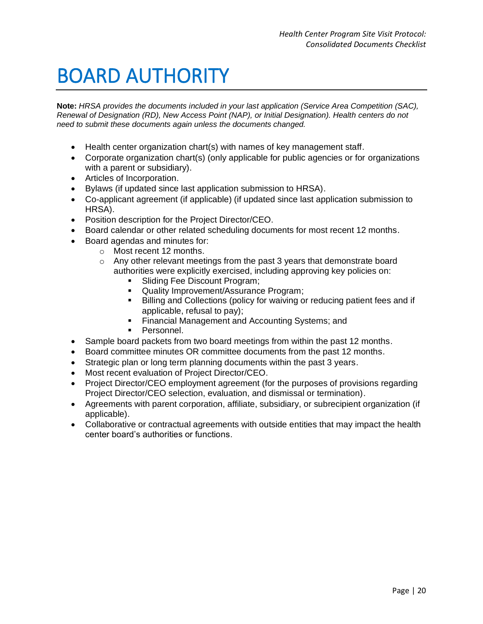#### <span id="page-21-0"></span>BOARD AUTHORITY

- Health center organization chart(s) with names of key management staff.
- Corporate organization chart(s) (only applicable for public agencies or for organizations with a parent or subsidiary).
- Articles of Incorporation.
- Bylaws (if updated since last application submission to HRSA).
- Co-applicant agreement (if applicable) (if updated since last application submission to HRSA).
- Position description for the Project Director/CEO.
- Board calendar or other related scheduling documents for most recent 12 months.
- Board agendas and minutes for:
	- Most recent 12 months.
	- Any other relevant meetings from the past 3 years that demonstrate board authorities were explicitly exercised, including approving key policies on:
		- Sliding Fee Discount Program;
		- **Quality Improvement/Assurance Program;**
		- Billing and Collections (policy for waiving or reducing patient fees and if applicable, refusal to pay);
		- Financial Management and Accounting Systems; and
		- Personnel.
- Sample board packets from two board meetings from within the past 12 months.
- Board committee minutes OR committee documents from the past 12 months.
- Strategic plan or long term planning documents within the past 3 years.
- Most recent evaluation of Project Director/CEO.
- Project Director/CEO employment agreement (for the purposes of provisions regarding Project Director/CEO selection, evaluation, and dismissal or termination).
- Agreements with parent corporation, affiliate, subsidiary, or subrecipient organization (if applicable).
- Collaborative or contractual agreements with outside entities that may impact the health center board's authorities or functions.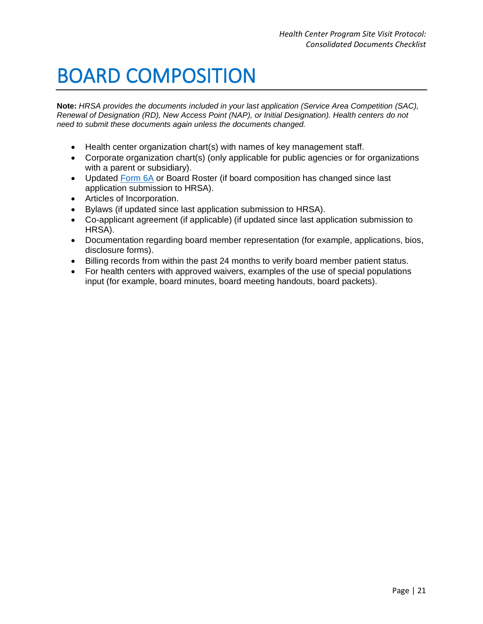### <span id="page-22-0"></span>BOARD COMPOSITION

- Health center organization chart(s) with names of key management staff.
- Corporate organization chart(s) (only applicable for public agencies or for organizations with a parent or subsidiary).
- Updated [Form 6A](https://bphc.hrsa.gov/sites/default/files/bphc/programopportunities/fundingopportunities/sac/form6a.pdf) or Board Roster (if board composition has changed since last application submission to HRSA).
- Articles of Incorporation.
- Bylaws (if updated since last application submission to HRSA).
- Co-applicant agreement (if applicable) (if updated since last application submission to HRSA).
- Documentation regarding board member representation (for example, applications, bios, disclosure forms).
- Billing records from within the past 24 months to verify board member patient status.
- For health centers with approved waivers, examples of the use of special populations input (for example, board minutes, board meeting handouts, board packets).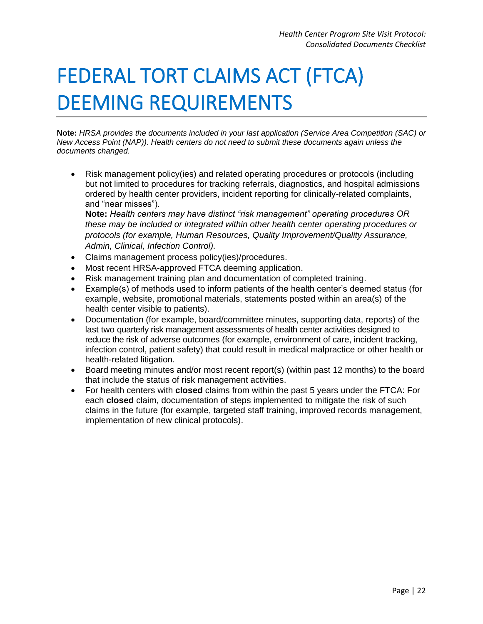# <span id="page-23-0"></span>FEDERAL TORT CLAIMS ACT (FTCA) DEEMING REQUIREMENTS

**Note:** *HRSA provides the documents included in your last application (Service Area Competition (SAC) or New Access Point (NAP)). Health centers do not need to submit these documents again unless the documents changed.* 

• Risk management policy(ies) and related operating procedures or protocols (including but not limited to procedures for tracking referrals, diagnostics, and hospital admissions ordered by health center providers, incident reporting for clinically-related complaints, and "near misses").

**Note:** *Health centers may have distinct "risk management" operating procedures OR these may be included or integrated within other health center operating procedures or protocols (for example, Human Resources, Quality Improvement/Quality Assurance, Admin, Clinical, Infection Control).*

- Claims management process policy(ies)/procedures.
- Most recent HRSA-approved FTCA deeming application.
- Risk management training plan and documentation of completed training.
- Example(s) of methods used to inform patients of the health center's deemed status (for example, website, promotional materials, statements posted within an area(s) of the health center visible to patients).
- Documentation (for example, board/committee minutes, supporting data, reports) of the last two quarterly risk management assessments of health center activities designed to reduce the risk of adverse outcomes (for example, environment of care, incident tracking, infection control, patient safety) that could result in medical malpractice or other health or health-related litigation.
- Board meeting minutes and/or most recent report(s) (within past 12 months) to the board that include the status of risk management activities.
- For health centers with **closed** claims from within the past 5 years under the FTCA: For each **closed** claim, documentation of steps implemented to mitigate the risk of such claims in the future (for example, targeted staff training, improved records management, implementation of new clinical protocols).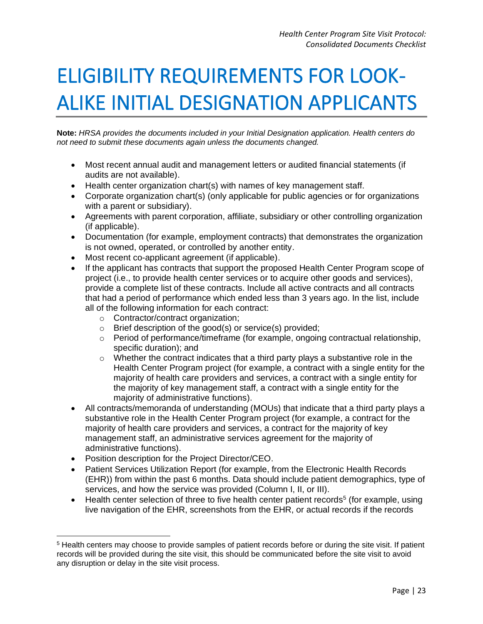## <span id="page-24-0"></span>ELIGIBILITY REQUIREMENTS FOR LOOK-ALIKE INITIAL DESIGNATION APPLICANTS

**Note:** *HRSA provides the documents included in your Initial Designation application. Health centers do not need to submit these documents again unless the documents changed.* 

- Most recent annual audit and management letters or audited financial statements (if audits are not available).
- Health center organization chart(s) with names of key management staff.
- Corporate organization chart(s) (only applicable for public agencies or for organizations with a parent or subsidiary).
- Agreements with parent corporation, affiliate, subsidiary or other controlling organization (if applicable).
- Documentation (for example, employment contracts) that demonstrates the organization is not owned, operated, or controlled by another entity.
- Most recent co-applicant agreement (if applicable).
- If the applicant has contracts that support the proposed Health Center Program scope of project (i.e., to provide health center services or to acquire other goods and services), provide a complete list of these contracts. Include all active contracts and all contracts that had a period of performance which ended less than 3 years ago. In the list, include all of the following information for each contract:
	- Contractor/contract organization;
	- Brief description of the good(s) or service(s) provided;
	- Period of performance/timeframe (for example, ongoing contractual relationship, specific duration); and
	- Whether the contract indicates that a third party plays a substantive role in the Health Center Program project (for example, a contract with a single entity for the majority of health care providers and services, a contract with a single entity for the majority of key management staff, a contract with a single entity for the majority of administrative functions).
- All contracts/memoranda of understanding (MOUs) that indicate that a third party plays a substantive role in the Health Center Program project (for example, a contract for the majority of health care providers and services, a contract for the majority of key management staff, an administrative services agreement for the majority of administrative functions).
- Position description for the Project Director/CEO.
- Patient Services Utilization Report (for example, from the Electronic Health Records (EHR)) from within the past 6 months. Data should include patient demographics, type of services, and how the service was provided (Column I, II, or III).
- $\bullet$  Health center selection of three to five health center patient records<sup>5</sup> (for example, using live navigation of the EHR, screenshots from the EHR, or actual records if the records

<sup>&</sup>lt;sup>5</sup> Health centers may choose to provide samples of patient records before or during the site visit. If patient records will be provided during the site visit, this should be communicated before the site visit to avoid any disruption or delay in the site visit process.